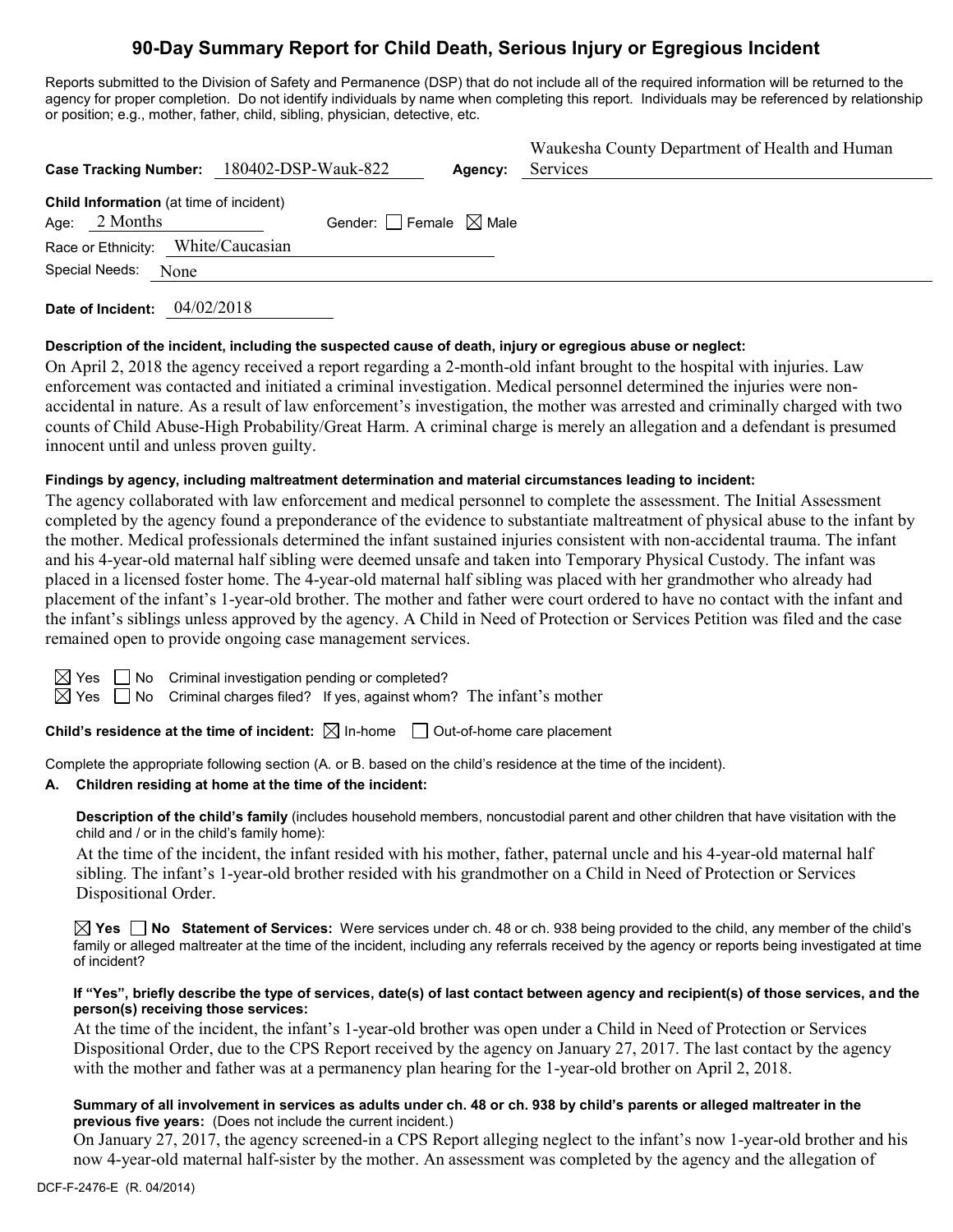# **90-Day Summary Report for Child Death, Serious Injury or Egregious Incident**

Reports submitted to the Division of Safety and Permanence (DSP) that do not include all of the required information will be returned to the agency for proper completion. Do not identify individuals by name when completing this report. Individuals may be referenced by relationship or position; e.g., mother, father, child, sibling, physician, detective, etc.

|                                                            | Case Tracking Number: 180402-DSP-Wauk-822 | Agency:                                | Waukesha County Department of Health and Human<br>Services |
|------------------------------------------------------------|-------------------------------------------|----------------------------------------|------------------------------------------------------------|
| Child Information (at time of incident)<br>Age: $2$ Months |                                           | Gender: $\Box$ Female $\boxtimes$ Male |                                                            |
| Race or Ethnicity: White/Caucasian                         |                                           |                                        |                                                            |
| Special Needs: None                                        |                                           |                                        |                                                            |

**Date of Incident:** 04/02/2018

### **Description of the incident, including the suspected cause of death, injury or egregious abuse or neglect:**

On April 2, 2018 the agency received a report regarding a 2-month-old infant brought to the hospital with injuries. Law enforcement was contacted and initiated a criminal investigation. Medical personnel determined the injuries were nonaccidental in nature. As a result of law enforcement's investigation, the mother was arrested and criminally charged with two counts of Child Abuse-High Probability/Great Harm. A criminal charge is merely an allegation and a defendant is presumed innocent until and unless proven guilty.

## **Findings by agency, including maltreatment determination and material circumstances leading to incident:**

The agency collaborated with law enforcement and medical personnel to complete the assessment. The Initial Assessment completed by the agency found a preponderance of the evidence to substantiate maltreatment of physical abuse to the infant by the mother. Medical professionals determined the infant sustained injuries consistent with non-accidental trauma. The infant and his 4-year-old maternal half sibling were deemed unsafe and taken into Temporary Physical Custody. The infant was placed in a licensed foster home. The 4-year-old maternal half sibling was placed with her grandmother who already had placement of the infant's 1-year-old brother. The mother and father were court ordered to have no contact with the infant and the infant's siblings unless approved by the agency. A Child in Need of Protection or Services Petition was filed and the case remained open to provide ongoing case management services.

 $\Box$  No Criminal investigation pending or completed?

 $\Box$  No Criminal charges filed? If yes, against whom? The infant's mother

**Child's residence at the time of incident:**  $\boxtimes$  In-home  $\Box$  Out-of-home care placement

Complete the appropriate following section (A. or B. based on the child's residence at the time of the incident).

### **A. Children residing at home at the time of the incident:**

**Description of the child's family** (includes household members, noncustodial parent and other children that have visitation with the child and / or in the child's family home):

At the time of the incident, the infant resided with his mother, father, paternal uncle and his 4-year-old maternal half sibling. The infant's 1-year-old brother resided with his grandmother on a Child in Need of Protection or Services Dispositional Order.

**Yes No Statement of Services:** Were services under ch. 48 or ch. 938 being provided to the child, any member of the child's family or alleged maltreater at the time of the incident, including any referrals received by the agency or reports being investigated at time of incident?

#### **If "Yes", briefly describe the type of services, date(s) of last contact between agency and recipient(s) of those services, and the person(s) receiving those services:**

At the time of the incident, the infant's 1-year-old brother was open under a Child in Need of Protection or Services Dispositional Order, due to the CPS Report received by the agency on January 27, 2017. The last contact by the agency with the mother and father was at a permanency plan hearing for the 1-year-old brother on April 2, 2018.

### **Summary of all involvement in services as adults under ch. 48 or ch. 938 by child's parents or alleged maltreater in the previous five years:** (Does not include the current incident.)

On January 27, 2017, the agency screened-in a CPS Report alleging neglect to the infant's now 1-year-old brother and his now 4-year-old maternal half-sister by the mother. An assessment was completed by the agency and the allegation of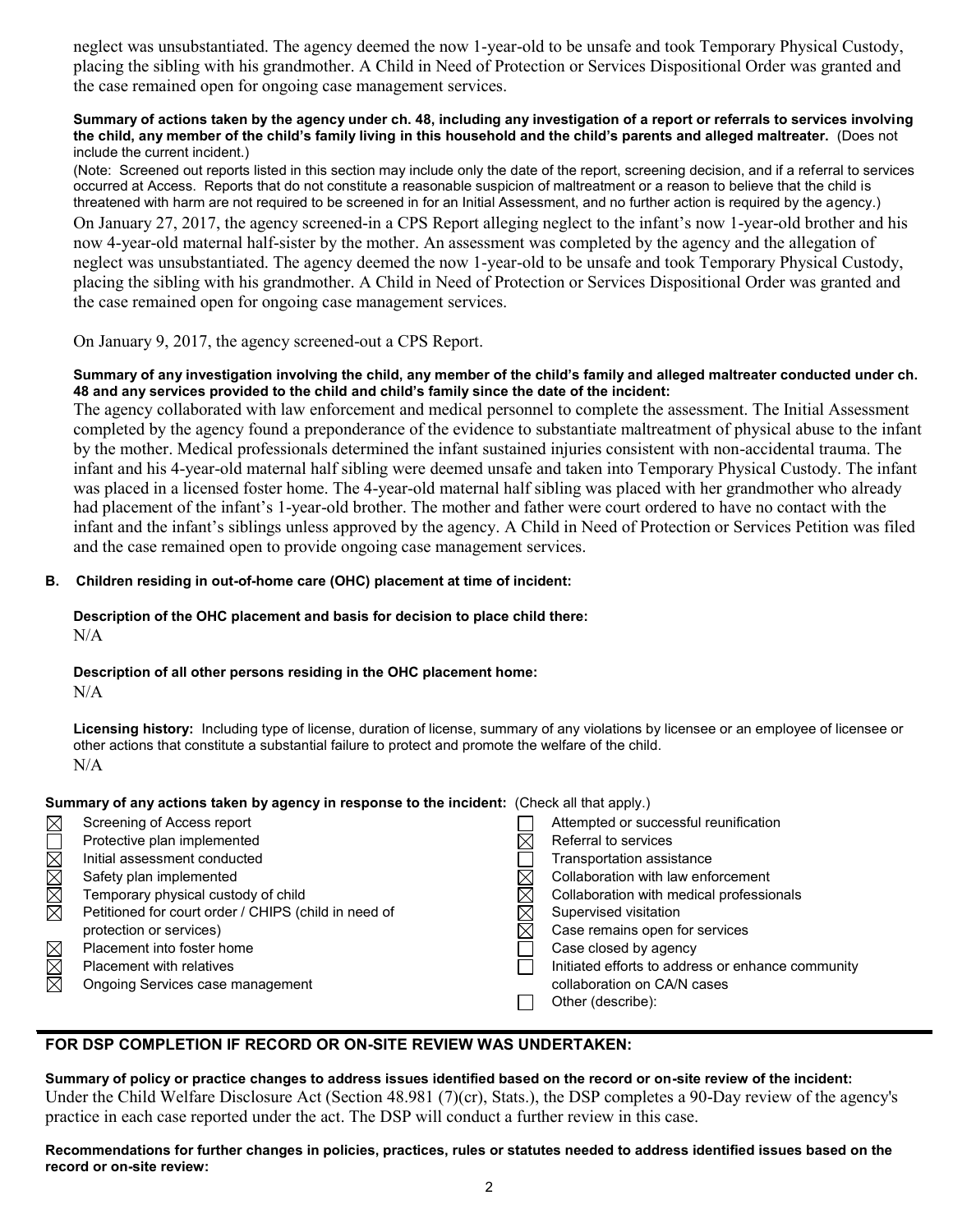neglect was unsubstantiated. The agency deemed the now 1-year-old to be unsafe and took Temporary Physical Custody, placing the sibling with his grandmother. A Child in Need of Protection or Services Dispositional Order was granted and the case remained open for ongoing case management services.

#### **Summary of actions taken by the agency under ch. 48, including any investigation of a report or referrals to services involving the child, any member of the child's family living in this household and the child's parents and alleged maltreater.** (Does not include the current incident.)

(Note: Screened out reports listed in this section may include only the date of the report, screening decision, and if a referral to services occurred at Access. Reports that do not constitute a reasonable suspicion of maltreatment or a reason to believe that the child is threatened with harm are not required to be screened in for an Initial Assessment, and no further action is required by the agency.) On January 27, 2017, the agency screened-in a CPS Report alleging neglect to the infant's now 1-year-old brother and his now 4-year-old maternal half-sister by the mother. An assessment was completed by the agency and the allegation of neglect was unsubstantiated. The agency deemed the now 1-year-old to be unsafe and took Temporary Physical Custody, placing the sibling with his grandmother. A Child in Need of Protection or Services Dispositional Order was granted and the case remained open for ongoing case management services.

On January 9, 2017, the agency screened-out a CPS Report.

## **Summary of any investigation involving the child, any member of the child's family and alleged maltreater conducted under ch. 48 and any services provided to the child and child's family since the date of the incident:**

The agency collaborated with law enforcement and medical personnel to complete the assessment. The Initial Assessment completed by the agency found a preponderance of the evidence to substantiate maltreatment of physical abuse to the infant by the mother. Medical professionals determined the infant sustained injuries consistent with non-accidental trauma. The infant and his 4-year-old maternal half sibling were deemed unsafe and taken into Temporary Physical Custody. The infant was placed in a licensed foster home. The 4-year-old maternal half sibling was placed with her grandmother who already had placement of the infant's 1-year-old brother. The mother and father were court ordered to have no contact with the infant and the infant's siblings unless approved by the agency. A Child in Need of Protection or Services Petition was filed and the case remained open to provide ongoing case management services.

## **B. Children residing in out-of-home care (OHC) placement at time of incident:**

# **Description of the OHC placement and basis for decision to place child there:**

N/A

# **Description of all other persons residing in the OHC placement home:**

 $N/A$ 

**Licensing history:** Including type of license, duration of license, summary of any violations by licensee or an employee of licensee or other actions that constitute a substantial failure to protect and promote the welfare of the child. N/A

# **Summary of any actions taken by agency in response to the incident:** (Check all that apply.)

| $\boxtimes$ | Screening of Access report                           | Attempted or successful reunification             |
|-------------|------------------------------------------------------|---------------------------------------------------|
|             | Protective plan implemented                          | Referral to services                              |
|             | Initial assessment conducted                         | Transportation assistance                         |
|             | Safety plan implemented                              | Collaboration with law enforcement                |
| MMMX        | Temporary physical custody of child                  | Collaboration with medical professionals          |
|             | Petitioned for court order / CHIPS (child in need of | Supervised visitation                             |
|             | protection or services)                              | Case remains open for services                    |
| $\boxtimes$ | Placement into foster home                           | Case closed by agency                             |
|             | <b>Placement with relatives</b>                      | Initiated efforts to address or enhance community |
| $\boxtimes$ | Ongoing Services case management                     | collaboration on CA/N cases                       |
|             |                                                      | Other (describe):                                 |

# **FOR DSP COMPLETION IF RECORD OR ON-SITE REVIEW WAS UNDERTAKEN:**

**Summary of policy or practice changes to address issues identified based on the record or on-site review of the incident:** Under the Child Welfare Disclosure Act (Section 48.981 (7)(cr), Stats.), the DSP completes a 90-Day review of the agency's practice in each case reported under the act. The DSP will conduct a further review in this case.

**Recommendations for further changes in policies, practices, rules or statutes needed to address identified issues based on the record or on-site review:**